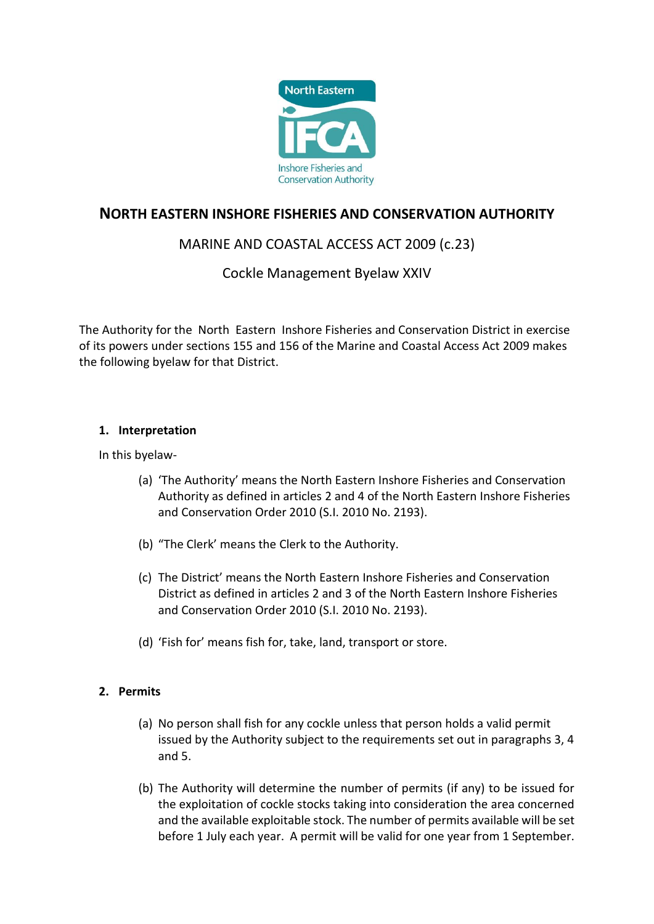

# **NORTH EASTERN INSHORE FISHERIES AND CONSERVATION AUTHORITY**

# MARINE AND COASTAL ACCESS ACT 2009 (c.23)

# Cockle Management Byelaw XXIV

The Authority for the North Eastern Inshore Fisheries and Conservation District in exercise of its powers under sections 155 and 156 of the Marine and Coastal Access Act 2009 makes the following byelaw for that District.

# **1. Interpretation**

In this byelaw-

- (a) 'The Authority' means the North Eastern Inshore Fisheries and Conservation Authority as defined in articles 2 and 4 of the North Eastern Inshore Fisheries and Conservation Order 2010 (S.I. 2010 No. 2193).
- (b) "The Clerk' means the Clerk to the Authority.
- (c) The District' means the North Eastern Inshore Fisheries and Conservation District as defined in articles 2 and 3 of the North Eastern Inshore Fisheries and Conservation Order 2010 (S.I. 2010 No. 2193).
- (d) 'Fish for' means fish for, take, land, transport or store.

# **2. Permits**

- (a) No person shall fish for any cockle unless that person holds a valid permit issued by the Authority subject to the requirements set out in paragraphs 3, 4 and 5.
- (b) The Authority will determine the number of permits (if any) to be issued for the exploitation of cockle stocks taking into consideration the area concerned and the available exploitable stock. The number of permits available will be set before 1 July each year. A permit will be valid for one year from 1 September.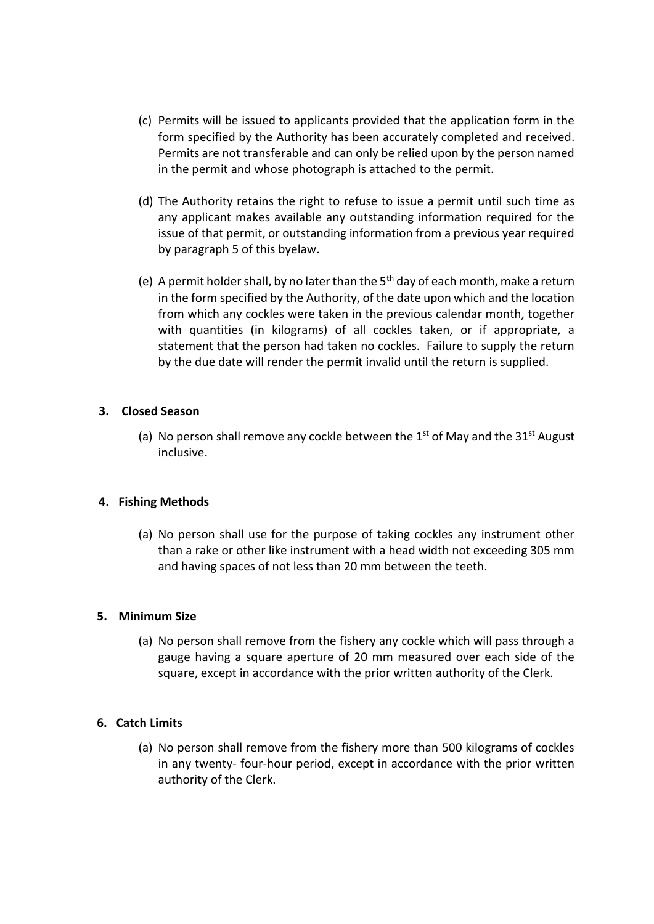- (c) Permits will be issued to applicants provided that the application form in the form specified by the Authority has been accurately completed and received. Permits are not transferable and can only be relied upon by the person named in the permit and whose photograph is attached to the permit.
- (d) The Authority retains the right to refuse to issue a permit until such time as any applicant makes available any outstanding information required for the issue of that permit, or outstanding information from a previous year required by paragraph 5 of this byelaw.
- (e) A permit holder shall, by no later than the  $5<sup>th</sup>$  day of each month, make a return in the form specified by the Authority, of the date upon which and the location from which any cockles were taken in the previous calendar month, together with quantities (in kilograms) of all cockles taken, or if appropriate, a statement that the person had taken no cockles. Failure to supply the return by the due date will render the permit invalid until the return is supplied.

### **3. Closed Season**

(a) No person shall remove any cockle between the 1<sup>st</sup> of May and the 31<sup>st</sup> August inclusive.

#### **4. Fishing Methods**

(a) No person shall use for the purpose of taking cockles any instrument other than a rake or other like instrument with a head width not exceeding 305 mm and having spaces of not less than 20 mm between the teeth.

#### **5. Minimum Size**

(a) No person shall remove from the fishery any cockle which will pass through a gauge having a square aperture of 20 mm measured over each side of the square, except in accordance with the prior written authority of the Clerk.

# **6. Catch Limits**

(a) No person shall remove from the fishery more than 500 kilograms of cockles in any twenty- four-hour period, except in accordance with the prior written authority of the Clerk.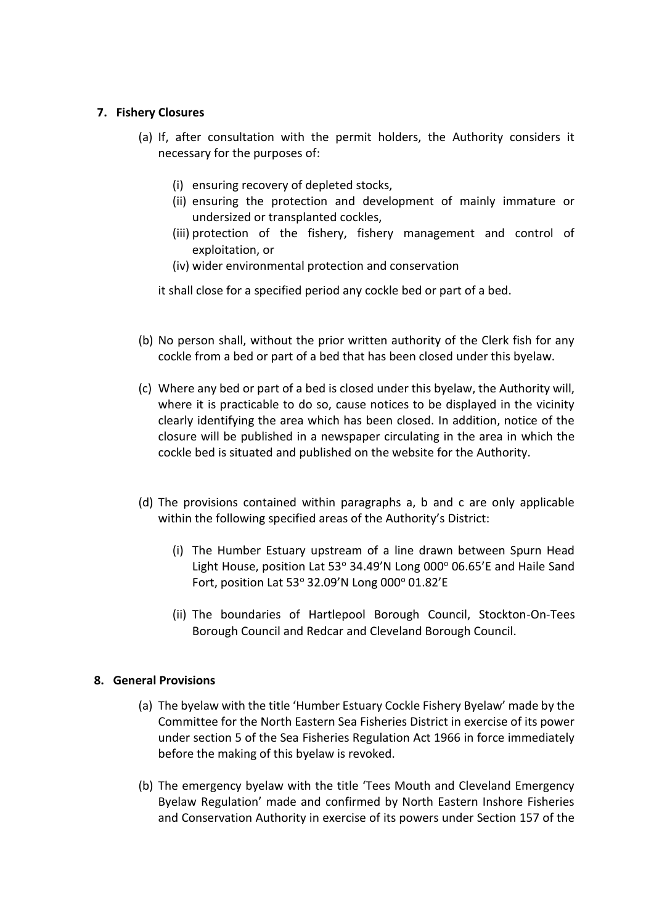### **7. Fishery Closures**

- (a) If, after consultation with the permit holders, the Authority considers it necessary for the purposes of:
	- (i) ensuring recovery of depleted stocks,
	- (ii) ensuring the protection and development of mainly immature or undersized or transplanted cockles,
	- (iii) protection of the fishery, fishery management and control of exploitation, or
	- (iv) wider environmental protection and conservation

it shall close for a specified period any cockle bed or part of a bed.

- (b) No person shall, without the prior written authority of the Clerk fish for any cockle from a bed or part of a bed that has been closed under this byelaw.
- (c) Where any bed or part of a bed is closed under this byelaw, the Authority will, where it is practicable to do so, cause notices to be displayed in the vicinity clearly identifying the area which has been closed. In addition, notice of the closure will be published in a newspaper circulating in the area in which the cockle bed is situated and published on the website for the Authority.
- (d) The provisions contained within paragraphs a, b and c are only applicable within the following specified areas of the Authority's District:
	- (i) The Humber Estuary upstream of a line drawn between Spurn Head Light House, position Lat 53° 34.49'N Long 000° 06.65'E and Haile Sand Fort, position Lat  $53^\circ$  32.09'N Long 000 $^\circ$  01.82'E
	- (ii) The boundaries of Hartlepool Borough Council, Stockton-On-Tees Borough Council and Redcar and Cleveland Borough Council.

#### **8. General Provisions**

- (a) The byelaw with the title 'Humber Estuary Cockle Fishery Byelaw' made by the Committee for the North Eastern Sea Fisheries District in exercise of its power under section 5 of the Sea Fisheries Regulation Act 1966 in force immediately before the making of this byelaw is revoked.
- (b) The emergency byelaw with the title 'Tees Mouth and Cleveland Emergency Byelaw Regulation' made and confirmed by North Eastern Inshore Fisheries and Conservation Authority in exercise of its powers under Section 157 of the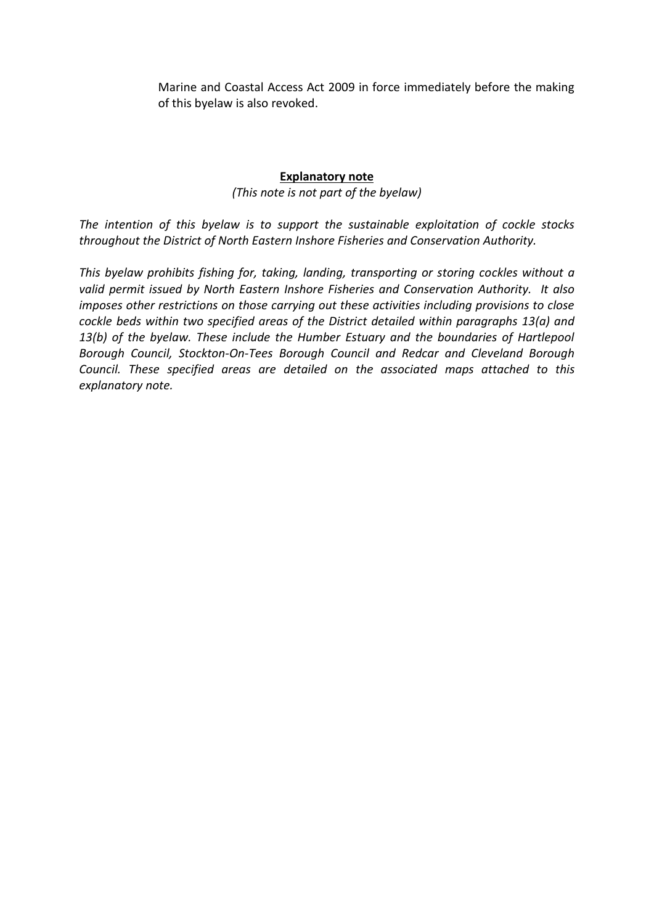Marine and Coastal Access Act 2009 in force immediately before the making of this byelaw is also revoked.

## **Explanatory note**

*(This note is not part of the byelaw)*

*The intention of this byelaw is to support the sustainable exploitation of cockle stocks throughout the District of North Eastern Inshore Fisheries and Conservation Authority.* 

*This byelaw prohibits fishing for, taking, landing, transporting or storing cockles without a valid permit issued by North Eastern Inshore Fisheries and Conservation Authority. It also imposes other restrictions on those carrying out these activities including provisions to close cockle beds within two specified areas of the District detailed within paragraphs 13(a) and 13(b) of the byelaw. These include the Humber Estuary and the boundaries of Hartlepool Borough Council, Stockton-On-Tees Borough Council and Redcar and Cleveland Borough Council. These specified areas are detailed on the associated maps attached to this explanatory note.*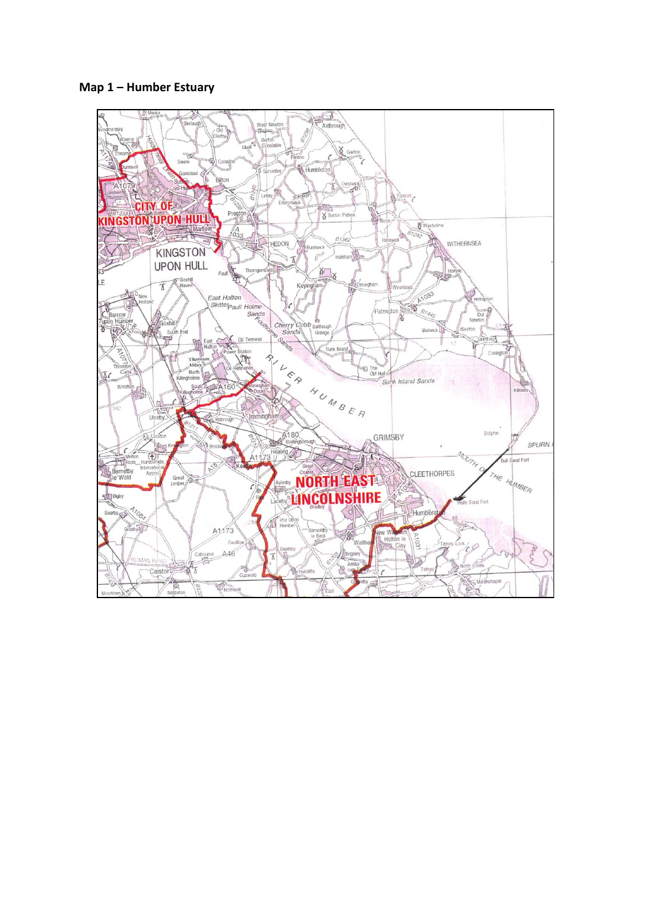**Map 1 – Humber Estuary** 

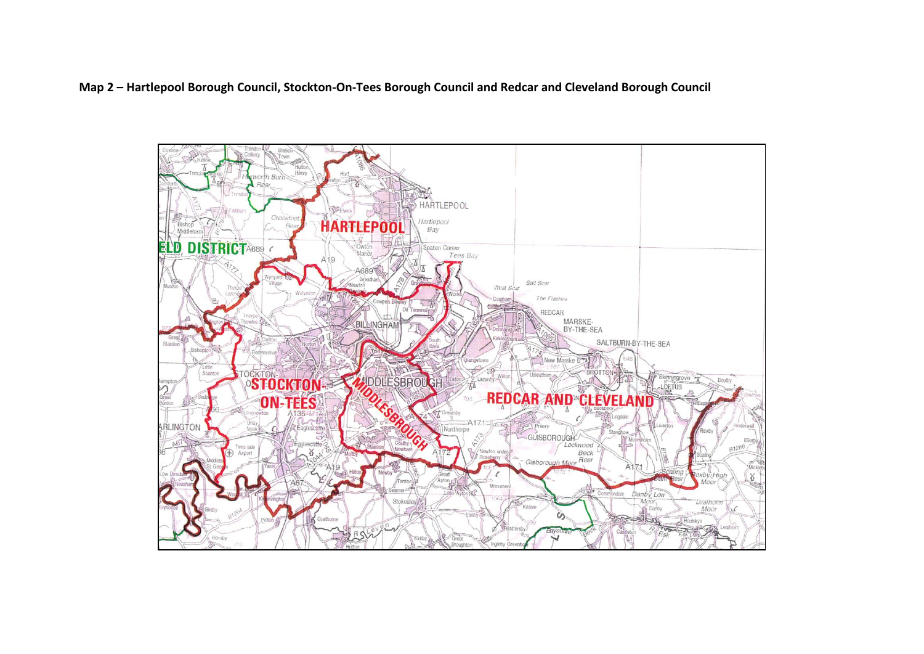## **Map 2 – Hartlepool Borough Council, Stockton-On-Tees Borough Council and Redcar and Cleveland Borough Council**